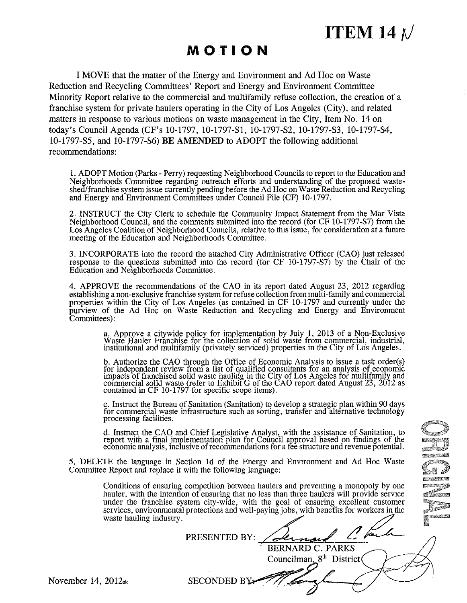**ITEM 14 M** 

# **MOTION**

I MOVE that the matter of the Energy and Environment and Ad Hoc on Waste Reduction and Recycling Committees' Report and Energy and Environment Committee Minority Report relative to the commercial and multifamily refuse collection, the creation of a franchise system for private haulers operating in the City of Los Angeles (City), and related matters in response to various motions on waste management in the City, Item No. 14 on today's Council Agenda (CF's 10-1797, 10-1797-81, 10-1797-82, 10-1797-83, 10-1797-84, 10-1797-85, and 10-1797-86) BE **AMENDED** to ADOPT the following additional recommendations:

1. ADOPT Motion (Parks- Perry) requesting Neighborhood Councils to report to the Education and Neighborhoods Committee regarding outreach efforts and understanding of the proposed wasteshed/franchise system issue currently pending before the Ad Hoc on Waste Reduction and Recycling and Energy and Environment Committees under Council File (CF) 10-1797.

2. INSTRUCT the City Clerk to schedule the Community Impact Statement from the Mar Vista Neighborhood Council, and the conunents submitted into the record (for CF 10-1797-S7) from the Los Angeles Coalition of Neighborhood Councils, relative to this issue, for consideration at a future meeting of the Education and Neighborhoods Committee.

3. INCORPORATE into the record the attached City Administrative Officer (CAO) just released response to the questions submitted into the record (for CF 10-1797-S7) by the Chair of the Education and Neighborhoods Committee.

4. APPROVE the recommendations of the CAO in its report dated August 23, 2012 regarding establishing a non-exclusive franchise system for refuse collection from multi-family and commercial properties within the City of Los Angeles (as contained in CF 10-1797 and currently under the purview of the Ad Hoc on Waste Reduction and Recycling and Energy and Environment Committees):

> a. Approve a citywide policy for implementation by July 1, 2013 of a Non-Exclusive Waste Hauler Franchise for the collection of solid waste from commercial, industrial,<br>institutional and multifamily (privately serviced) properties in the City of Los Angeles.

> b. Authorize the CAO through the Office of Economic Analysis to issue a task order(s) for independent review from a list of qualified consultants for an analysis of economic impacts of franchised solid waste hauling in the City of Los Angeles for multifamily and commercial solid waste (refer to Exhibit G of the CAO report dated August 23, 2012 as contained in CF 10-1797 for specific scope items).

> c. Instruct the Bureau of Sanitation (Sanitation) to develop a strategic plan within 90 days for commercial waste infrastructure such as sorting, transfer and alternative technology processing facilities.

> d. Instruct the CAO and Chief Legislative Analyst, with the assistance of Sanitation, to report with a final implementation plan for Council approval based on findings of the economic analysis, inclusive of recommendations for a fee structure and revenue potential.

5. DELETE the language in Section ld of the Energy and Environment and Ad Hoc Waste Committee Report and replace it with the following language:

> Conditions of ensuring competition between haulers and preventing a monopoly by one hauler, with the intention of ensuring that no less than three haulers will provide service under the franchise system city-wide, with the under the franchise system city-wide, with the goal of ensuring excellent customer  $\blacksquare$

|                         | under the manchise system city-wide, while the goal of ensuring excellent customer<br>services, environmental protections and well-paying jobs, with benefits for workers in the |            |
|-------------------------|----------------------------------------------------------------------------------------------------------------------------------------------------------------------------------|------------|
| waste hauling industry. |                                                                                                                                                                                  | WASHINGTON |
|                         | PRESENTED BY:                                                                                                                                                                    |            |
|                         | <b>BERNARD C. PARKS</b>                                                                                                                                                          |            |
|                         | Councilman, $8th$ District                                                                                                                                                       |            |
| 2012a                   | SECONDED BY                                                                                                                                                                      |            |
|                         |                                                                                                                                                                                  |            |

mentan

**IZONICH REAL** 

November 14,  $2012<sub>ak</sub>$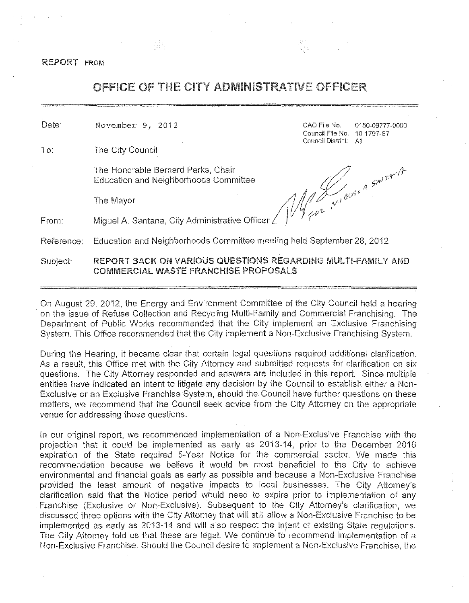REPORT FROM

# OFFICE OF THE CITY ADMINISTRATIVE OFFICER

Date:

To: The City Council

The Honorable Bernard Parks, Chair<br>Education and Neighborhoods Committee Education and Neighborhoods Committee

November 9, 2012 CAO File No. 0150-09777-0000 Council File No. 10-1797-S? Council District: All

 $\mathcal{A}$  ,  $\mathcal{A}$  ,  $\mathcal{A}$  ,  $\mathcal{A}$ The Mayor  $\mathcal{M}/\mathcal{M}^{\mu\nu}$ <sup>ev'</sup> I I *!if//(/'-* <sup>I</sup>

From: Miguel A. Santana, City Administrative Officer

ey k

Reference: Education and Neighborhoods Committee meeting held September 28, 2012

# Subject: REPORT BACK ON VARIOUS QUESTIONS REGARDING MULTI-FAMILY AND COMMERCIAL WASTE FRANCHISE PROPOSALS

On August 29, 2012, the Energy and Environment Committee of the City Council held a hearing on the issue of Refuse Collection and Recycling Multi-Family and Commercial Franchising. The Department of Public Works recommended that the City implement an Exclusive Franchising System. This Office recommended that the City implement a Non-Exclusive Franchising System.

During the Hearing, it became clear that certain legal questions required additional clarificaiion. As a result, this Office met with the City Attorney and submiited requests for clarification on six questions. The City Attorney responded and answers are included in this report. Since multiple entities have indicated an intent to litigate any decision by the Council to establish either a Non-Exclusive or an Exclusive Franchise System, should the Council have further questions on these matters, we recommend that the Council seek advice from the City Attorney on the appropriate venue for addressing those questions.

In our original report, we recommended implementation of a Non-Exclusive Franchise with the projection that it could be implemented as early as 2013-14, prior to the December 2016 expiration of the State required 5-Year Notice for the commercial sector. We made this recommendation because we believe it would be most beneficial to the City to achieve environmental and financial goals as early as possible and because a Non-Exclusive Franchise provided the least amount of negative impacts to local businesses. The City Attorney's clarification said that the Notice period would need to expire prior to implementation of any Franchise (Exclusive or Non-Exclusive). Subsequent to the City Attorney's clarification, we discussed three options with the City Attorney that will still allow a Non-Exclusive Franchise to be implemented as early as 2013-14 and will also respect the intent of existing State regulations. The City Attorney told us that these are legal. We continue to recommend implementation of a Non-Exclusive Franchise. Should the Council desire to implement a Non-Exclusive Franchise, the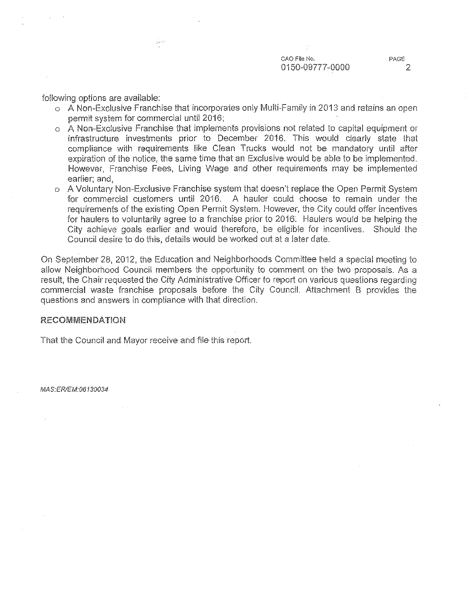following options are available:

ý, se

- o A Non-Exclusive Franchise that incorporates only Multi-Family in 2013 and retains an open permit system for commercial until 2016;
- o A Non-Exclusive Franchise that implements provisions not related to capital equipment or infrastructure investments prior to December 2016. This would clearly state that compliance with requirements like Clean Trucks would not be mandatory until after expiration of the notice, the same time that an Exclusive would be able to be implemented. However, Franchise Fees, Living Wage and other requirements may be implemented earlier; and,
- o A Voluntary Non-Exclusive Franchise system that doesn't replace the Open Permit System for commercial customers until 2016. A hauler could choose to remain under the requirements of the existing Open Permit System. However, the City could offer incentives for haulers to voluntarily agree to a franchise prior to 2016: Haulers would be helping the City achieve goals earlier and would therefore, be eligible for incentives. Should the Council desire to do this, details would be worked out at a later date.

On September 28, 2012, the Education and Neighborhoods Committee held a special meeting to allow Neighborhood Council members the oppotiunity to comment on the two proposals. As a result, the Chair requested the City Administrative Officer *to* report on various questions regarding commercial waste franchise proposals before the City Council. Attachment B provides the questions and answers in compliance with that direction.

#### RECOMMENDATION

That the Council and Mayor receive and file this report.

MAS:ER/EM:06130034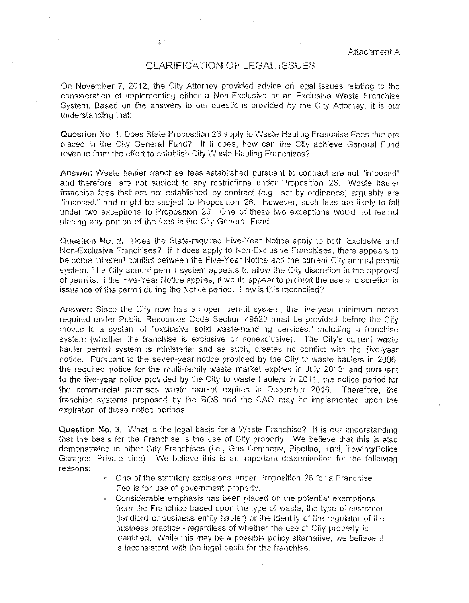## CLAR.IFICATION OF LEGAL ISSUES

On November 7, 2012, the City Attorney provided advice on legal issues relating to the consideration of implementing either a Non-Exclusive or an Exclusive Waste Franchise System. Based on the answers to our questions provided by the City Attorney, it is our understanding that:

Question No. 1. Does State Proposition 26 apply to Waste Hauling Franchise Fees that are placed in the City General Fund? If it does, how can the City achieve General Fund revenue from the effort to establish City Waste Hauling Franchises?

Answer: Waste hauler franchise fees established pursuant to contract are not "imposed" and therefore, are not subject to any restrictions under Proposition 26. Waste hauler franchise fees that are not established by contract (e.g., set by ordinance) arguably are "imposed," and might be subject to Proposition 26. However, such fees are likely to fall under two exceptions to Proposition 26. One of these two exceptions would not restrict placing any portion of the fees in the City General Fund

Question No. 2. Does the State-required Five-Year Notice apply to both Exclusive and Non-Exclusive Franchises? If it does apply to Non-Exclusive Franchises, there appears to be some inherent conflict between the Five-Year Notice and the current City annual permit system. The City annual permit system appears to allow the City discretion in the approval of permits. If the Five-Year Notice applies, i! would appear to prohibit the use of discretion in issuance of the permit during the Notice period. How is this reconciled?

Answer: Since the City now has an open permit system, the five-year minimum notice required under Public Resources Code Section 49520 must be provided before the City moves to a system of "exclusive solid waste-handling services," including a franchise system (whether the franchise is exclusive or nonexclusive). The City's current waste hauler permit system is ministerial and as such, creates no conflict with the five-year notice. Pursuant to the seven-year notice provided by the City to waste haulers in 2006, the required notice for the multi-family waste market expires in July 2013; and pursuant to the five-year notice provided by the City to waste haulers in 2011, the notice period for the commercial premises waste market expires in December 2016. Therefore, the franchise systems proposed by the BOS and the GAO may be implemented upon the expiration of those notice periods.

Question No. 3. What is the legal basis for a Waste Franchise? It is our understanding that the basis for the Franchise is the use of City property. We believe that this is also demonstrated in other City Franchises (i.e., Gas Company, Pipeline, Taxi, Towing/Police Garages, Private Line). We believe this is an important determination for the following **reasons:** 

- One of the statutory exclusions under Proposition 26 for a Franchise Fee is for use of government property.
- Considerable emphasis has been placed on the potential exemptions from the Franchise based upon the type of waste, the type of customer (landlord or business entity hauler) or the identity of the regulator of the business practice - regardless of whether the use of City property is identified. While this may be a possible policy alternative, we believe it is inconsistent with the legal basis for the franchise.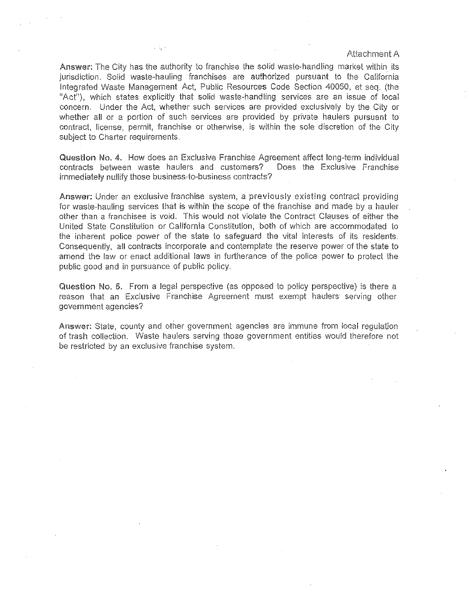Answer: The City has the authority to franchise the solid waste-handling market within its jurisdiction. Solid waste-hauling franchises are authorized pursuant to the California Integrated Waste Management Act, Public Resources Code Section 40050, et seq. (the "Act"), which states explicitly that solid waste-handling services are an issue of local concern. Under the Act, whether such services are provided exclusively by the City or whether all or a portion of such services are provided by private haulers pursuant to contract, license, permit, franchise or otherwise, is within the sole discretion of the City subject to Charter requirements.

Question No. 4. How does an Exclusive Franchise Agreement affect long-term individual contracts between waste haulers and customers? Does the Exclusive Franchise immediately nullify those business-to-business contracts?

Answer: Under an exclusive franchise system, a previously existing contract providing for waste-hauling services that is within the scope of the franchise and made by a hauler other than a franchisee is void. This would not violate the Contract Clauses of either the United State Constitution or California Constitution, both of which are accommodated to the inherent police power of the state to safeguard the vital interests of its residents. Consequently, all contracts incorporate and contemplate the reserve power of the state to amend the law or enact additional laws in furtherance of the police power to protect the public good and in pursuance of public policy.

Question No. 5. From a legal perspective (as opposed to policy perspective) is there a reason that an Exclusive Franchise Agreement must exempt haulers serving other government agencies?

Answer; State, county and other government agencies are immune from local regulation of trash collection. Waste haulers serving those government entities would therefore not be restricted by an exclusive franchise system.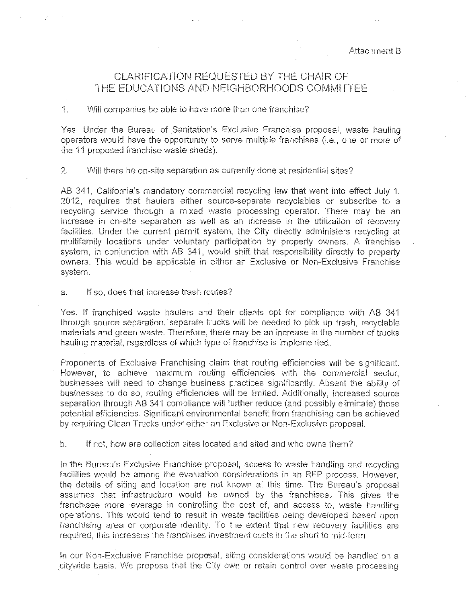# CLARIFICATION REQUESTED BY THE CHAIR OF THE EDUCATIONS AND NEIGHBORHOODS COMMITTEE

#### 1. Will companies be able to have more than one franchise?

Yes. Under the Bureau of Sanitation's Exclusive Franchise proposal, waste hauling operators would have the opportunity to serve multiple franchises (i.e., one or more of the 11 proposed franchise waste sheds).

2. Will there be on-site separation as currently done at residential sites?

AB 341, California's mandatory commercial recycling law that went into effect July 1, 2012, requires that haulers either source-separate recyclables or subscribe to a recycling service through a mixed waste processing operator. There may be an increase in on-site separation as well as an increase in the utilization of recovery facilities. Under the current permit system, the City directly administers recycling at multifamily locations under voluntary participation by property owners. A franchise system, in conjunction with AB 341, would shift that responsibility directly to property owners. This would be applicable in either an Exclusive or Non-Exclusive Franchise system.

a. If so, does that increase trash routes?

Yes. If franchised waste haulers and their ciients opt for compliance with AB 341 through source separation, separate trucks will be needed to pick up trash, recyclable materials and green waste. Therefore, there may be an increase in the number of trucks hauling material, regardless of which type of franchise is implemented.

Proponents of Exclusive Franchising claim that routing efficiencies will be significant. However, to achieve maximum routing efficiencies with the commercial sector, businesses will need to change business practices significantly. Absent the ability of businesses to do so, routing efficiencies wiil be limited. Additionally, increased source separation through AB 341 compliance will further reduce (and possibly eliminate) those potential efficiencies. Significant environmental benefit from franchising can be achieved by requiring Clean Trucks under either an Exclusive or Non-Exclusive proposal.

b. If not, how are collection sites located and sited and who owns them?

In the Bureau's Exclusive Franchise proposal, access to waste handling and recycling facilities would be among the evaluation considerations in an RFP process. However, the details of siting and location are not known at this time. The Bureau's proposal assumes that infrastructure would be owned by the franchisee. This gives the franchisee more leverage in controlling the cost of, and access to, waste handling operations. This would tend to result in waste facilities being developed based upon franchising area or corporate identity. To the extent that new recovery facilities are required, this increases the franchises investment costs in the short to mid-term.

In our Non-Exclusive Franchise proposal, siting considerations would be handled on a citywide basis. We propose that the City own or retain control over waste processing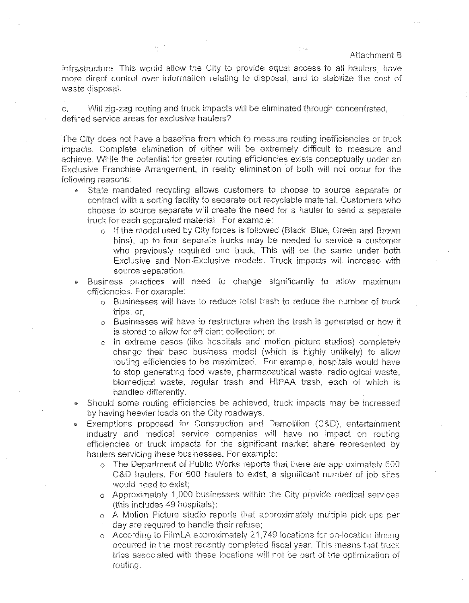infrastructure. This would allow the City to provide equal access to ail haulers, have more direct control over information relating to disposal, and to stabilize the cost of waste disposal.

e sig

c. Will zig-zag routing and truck impacts will be eliminated through concentrated, defined service areas for exclusive haulers?

The City does not have a baseline from which to measure routing inefficiencies or truck impacts. Complete elimination of either will be extremely difficult to measure and achieve. While the potential for greater routing efficiencies exists conceptually under an Exclusive Franchise Arrangement, in reality elimination of both will not occur for the fol!owing reasons:

- State mandated recycling allows customers to choose to source separate or contract with a sorting facility to separate out recyclable material. Customers who choose to source separate will create the need for a hauler to send a separate truck for each separated material. For example:
	- o If the model used by City forces is followed (Black, Blue, Green and Brown bins), up to four separate trucks may be needed to service a customer who previously required one truck. This will be the same under both Exclusive and Non-Exclusive models. Truck impacts will increase with source separation.
- Business practices will need to change significantly to allow maximum efficiencies. For example:
	- o Businesses will have to reduce total trash to reduce the number of truck  $trios:$  or $<sub>+</sub>$ </sub>
	- o Businesses will have to restructure when the trash is generated or how it is stored to allow for efficient collection; or,
	- c In extreme cases (like hospitals and motion picture studios) completely change their base business model (which is highiy unlikely') to allow routing efficiencies to be maximized. For example, hospitals would have to stop generating food waste, phannaceutical waste, radiological waste, biomedical waste, regular trash and HIPAA trash, each of which is handled differently.
- Should some routing efficiencies be achieved, truck impacts may be increased by having heavier loads on the City roadways.
- Exemptions proposed for Construction and Dernoliiion (C&D), entertainment industry and medical service companies will have no impact on routing efficiencies or truck impacts for the significant market share represented by haulers servicing these businesses. For example:
	- o The Department of Public Works reports that there are approximately 600 C&D haulers. For 600 haulers to exist, a significant number of job sites would need to exist;
	- o Approximately 1,000 businesses within the City provide medical services (this includes 49 hospitals);
	- o A Motion Picture studio reports that approximately multiple pick-ups per day are required to handle their refuse;
	- o According to FilmLA approximately 21,749 locations for on-location filming occurred in the most recently completed fiscal year. This means that truck trips associated with these locations will not be part of the optimization of routing.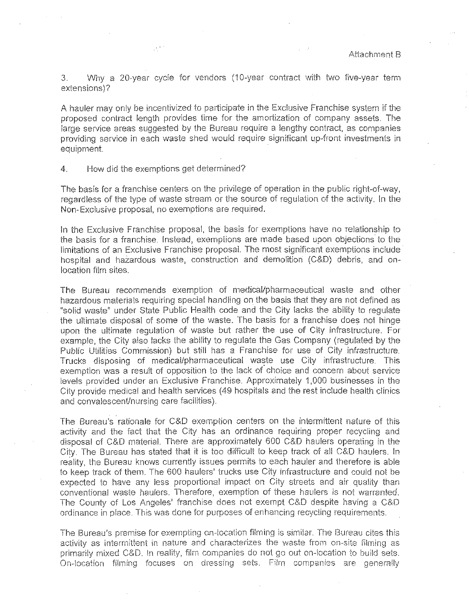3. Why a 2Q.year cycle for vendors (10·year contract with two five-year term extensions)?

A hauler may only be incentivized to participate in the Exclusive Franchise system if the proposed contract length provides time for the amortization of company assets. The large service areas suggested by the Bureau require a lengthy contract, as companies providing service in each waste shed would require significant up-front investments in equipment.

#### 4. How did the exemptions get determined?

 $\mathcal{L}^{(1)}$ 

The basis for a franchise centers on the privilege of operation in the public right-of-way, regardless of the type of waste stream or the source of regulation of the activity. In the Non-Exclusive proposal, no exemptions are required.

In the Exclusive Franchise proposal, the basis for exemptions have no relationship to the basis for a franchise. Instead, exemptions are made based upon objections to the limitations of an Exclusive Franchise proposal. The most significant exemptions include hospital and hazardous waste, construction and demolition (C&D) debris, and onlocation film sites.

The Bureau recommends exemption of medicai/pharmaceutical waste and other hazardous materials requiring special handling on the basis that they are not defined as "solid waste" under State Public Health code and the City lacks the ability to regulate the ultimate disposal of some of the waste. The basis for a franchise does not hinge upon the ultimate regulation of waste but rather the use of City infrastructure. For example, the City also lacks the ability to regulate the Gas Company (regulated by the Public Utilities Commission) but still has a Franchise for use of City infrastructure. Trucks disposing of medical/pharmaceutical waste use City infrastructure. This exemption was a result of opposition to the lack of choice and concern about service levels provided under an Exclusive Franchise. Approximately 1,000 businesses in the City provide medical and health services (49 hospitals and the rest include health clinics and convalescent/nursing care facilities).

The Bureau's rationale for C&D exemption centers on the intermittent nature of this activity and the fact that the City has an ordinance requiring proper recycling and disposal of C&D material. There are approximately 600 C&D haulers operating in the City The Bureau has stated that it is too difficult to keep track of ali C&D haulers. In reality, the Bureau knows currently issues permits to each hauler and therefore is able to keep track of them. The 600 haulers' trucks use City infrastructure and could not be expected to have any less proportional impact on City streets and air quality than conventional waste haulers. Therefore, exemption of these haulers is not warranted. The County of Los Angeles' franchise does not exempt C&D despite having a C&D ordinance in place. This was done for purposes of enhancing recycling requirements.

The Bureau's premise for exempting on-location filming is similar. The Bureau cites this activity as intermittent in nature and characterizes the waste from on-site filming as primarily mixed C&D. In reality, film companies do not go out on-location to build sets. On-location filming focuses on dressing sets. Film companies are generally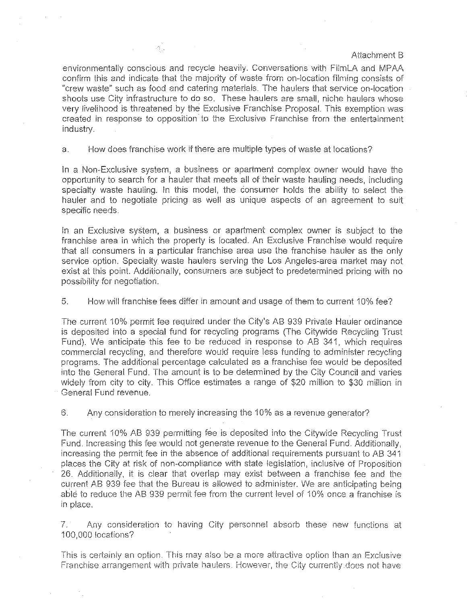environmentally conscious and recycle heavily. Conversations with FilmLA and MPAA confirm this and indicate that the majority of waste from on-location filming consists of "crew waste" such as food and catering materials. The haulers that service on-location shoots use City infrastructure to do so. These haulers are small, niche haulers whose very livelihood is threatened by the Exclusive Franchise Proposal. This exemption was created in response to opposition to the Exclusive Franchise from the entertainment industry.

a. How does franchise work if there are multiple types of waste at locations?

In a Non-Exclusive system, a business or apartment complex owner would have the opportunity to search for a hauler that meets all of their waste hauling needs, including specialty waste hauling. In this model, the consumer holds the ability to select the hauler and to negotiate pricing as well as unique aspects of an agreement to suit specific needs.

In an Exclusive system, a business or apartment complex owner is subject to the franchise area in which the property is located. An Exclusive Franchise would require that all consumers in a particular franchise area use the franchise hauler as the only service option. Specialty waste haulers serving the Los Angeles-area market may not exist at this point. Additionaliy, consumers are subject to predetermined pricing with no possibility for negotiation.

### 5. How will franchise fees differ in amount and usage of them to current 10% fee?

The current 10% permit fee required under the City's AB 939 Private Hauler ordinance is deposited into a special fund for recycling programs (The Citywide Recycling Trust Fund). We anticipate this fee to be reduced in response to AB 341, which requires commercial recycling, and therefore would require less funding to administer recycling programs. The additional percentage calculated as a franchise fee would be deposited into the General Fund. The amount is to be determined by the City Council and varies widely from city to city. This Office estimates a range of \$20 million to \$30 rniilion in General Fund revenue.

6. Any consideration to merely increasing the 10% as a revenue generator?

The current 10% AB 939 permitting fee is deposited into the Citywide Recycling Trust Fund. Increasing this fee would not generate revenue to the General Fund. Additionally, increasing the permit fee in the absence of additional requirements pursuant to AB 341 places the City at risk of non-compliance with state legislation, inclusive of Proposition 26. Additionally, it is clear that overlap may exist between a franchise fee and the current AB 939 fee that the Bureau is aliowed to administer. We are anticipating being able to reduce the AB 939 permit fee from the current level of 10% once a franchise is in place.

7. Any consideration to having City personnel absorb these new functions at 100,000 locations?

This is certainly an option. This may also be a more attractive option than an Exclusive Franchise arrangement with private haulers. However, the City currently does not have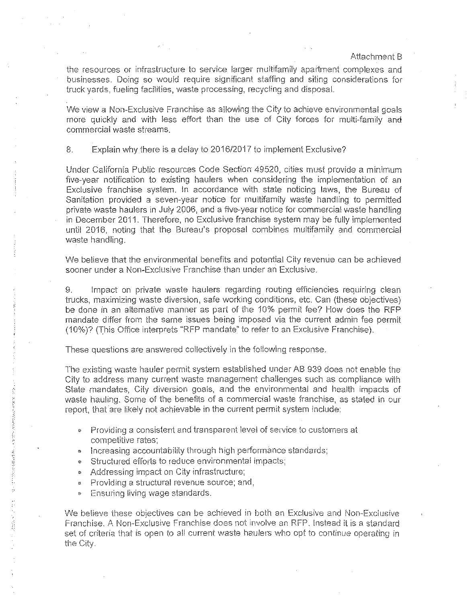the resources or infrastructure to service larger multifamily apartment complexes and businesses. Doing so would require significant staffing and siting considerations for truck yards, fueling facilities, waste processing, recycling and disposal.

We view a Non-Exclusive Franchise as al!owing the City to achieve environmental goals more quickly and with less effort than the use of City forces for multi-family and commercial waste streams.

8. Explain why there is a delay to 2016/2017 to implement Exclusive?

Under California Public resources Code Section 49520, cities must provide a minimum five-year notification to existing haulers when considering the implementation of an Exclusive franchise system. In accordance with state noticing laws, the Bureau of Sanitation provided a seven-year notice for multifamily waste handling to permitted private waste haulers in July 2006, and a five-year notice for commercial waste handling in December 2011. Therefore, no Exclusive franchise system may be fully implemented until 2016, noting that the Bureau's proposal combines multifamily and commercial waste handling.

We believe that the environmental benefits and potential City revenue can be achieved sooner under a Non-Exclusive Franchise than under an Exclusive.

9. Impact on private waste haulers regarding routing efficiencies requiring clean trucks, maximizing waste diversion, safe working conditions, eic. Can (these objectives) be done in an alternative manner as part of the 10% permit fee? How does the RFP mandate differ from the same issues being imposed via the current admin fee permit (10%)? (This Office interprets "RFP mandate" to refer to an Exclusive Franchise).

These questions are answered collectively in the following response.

The existing waste hauler permit system established under AB 939 does not enable the City to address many current waste management challenges such as compliance with State mandates, City diversion goals, and the environmental and health impacts of waste baulina. Some of the benefits of a commercial waste franchise, as stated in our report, that are likely not achievable in the current permit system include:

- Providing a consistent and transparent level of service to customers at competitive rates;
- Increasing accountability through high performance standards;
- . Structured efforts to reduce environmental impacts;
- Addressing impact on City infrastructure;
- Providing a structural revenue source; and,
- Ensuring living wage standards.

2020年12月12日, 2020年12月12日, 2020年12月1日, 2020年12月

一部 大阪道根

We believe these objectives can be achieved in both an Exclusive and Non-Exclusive Franchise. A Non-Exclusive Franchise does not involve an RFP. Instead it is a standard set of criteria that is open to all current waste haulers who opt to continue operating in **the Clty.**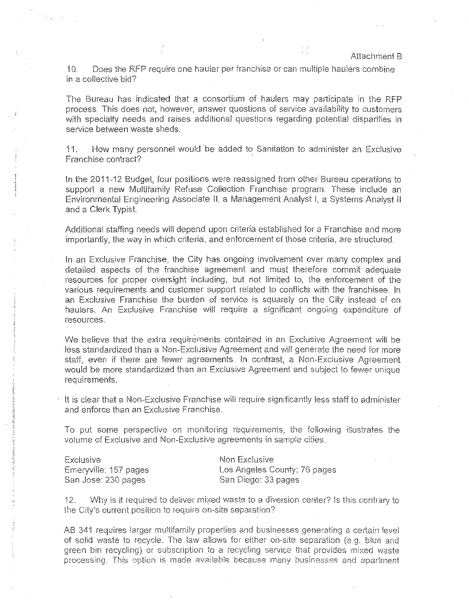i 0. Does the RFP require one hauler perfranchise or can multiple haulers combine in a collective bid?

The Bureau has indicated that a consortium of haulers may participate in the RFP process. This does not, however, answer questions of service availability to customers with specialty needs and raises additional questions regarding potential disparities in service between waste sheds.

11. How many personnel would be added to Sanitation to administer an Exclusive Franchise contract?

In the 2011-12 Budget, four positions were reassigned from other Bureau operations to support a new Multifamily Refuse Collection Franchise program. These include an Environmental Engineering Associate II, a Management Analyst i, a Systems Analyst II and a Clerk Typist.

Additional staffing needs will depend upon criteria established for a Franchise and more importantly, the way in which criteria, and enforcement of those criteria, are structured.

In an Exclusive Franchise, the City has ongoing involvement over many complex and detailed aspects of the franchise agreement and must therefore commit adequate resources for proper oversight including, but not limited to, the enforcement of the various requirements and customer support related to conflicts with the franchisee. In an Exclusive Franchise the burden of service is squarely on the City instead of on haulers. An Exclusive Franchise will require a significant ongoing expenditure of resources.

We believe that the extra requirements contained in an Exclusive Agreement will be less standardized than a Non-Exclusive Agreement and will generate the need for more staff, even if there are fewer agreements. In contrast, a Non-Exclusive Agreement would be more standardized than an Exclusive Agreement and subject to fewer unique requirements.

 $\cdot$  It is clear that a Non-Exclusive Franchise will require significantly less staff to administer and enforce than an Exclusive Franchise.

To put some perspective on monitoring requirements, the following illustrates the volume of Exclusive and Non-Exclusive agreements in sample cities.

Exclusive Emeryville: 157 pages San Jose: 230 pages

Non Exclusive Los Angeles County: 76 pages San Diego: 33 pages

12. Why is it required to deliver mixed waste to a diversion center? Is this contrary to the City's current position to require on-site separation?

AB 341 requires larger multifamily properties and businesses generating a certain level of solid waste to recycle. The law allows for either on-site separation (e.g. blue and green bin recycling) or subscription to a recycling service that provides mixed waste processing. This option is made available because many businesses and apartment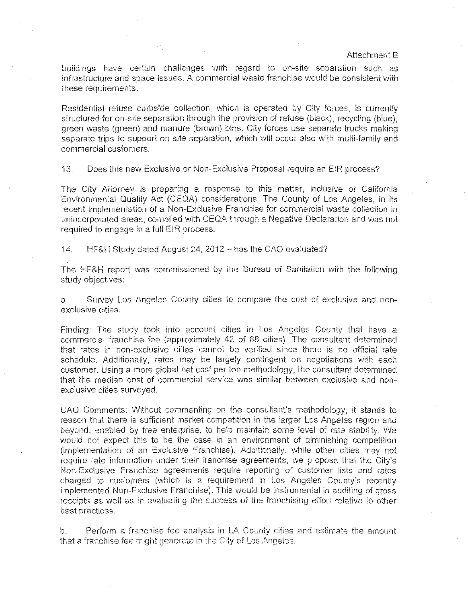buildings have certain challenges with regard to on-site separation such as infrastructure and space issues. A commercial waste franchise would be consistent with these requirements.

Residential refuse curbside collection, which is operated by City forces, is currently structured for on-site separation through the provision of refuse (black), recycling (blue). green waste (green) and manure (brown) bins. City forces use separate trucks making separate trips to support on-site separation, which will occur also with multi-family and commercial customers.

13. Does this new Exclusive or Non-Exclusive Proposal require an EIR process?

The City Attorney is preparing a response to this matter, inclusive of California Environmental Quality Act (CEQA) considerations. The County of Los Angeles, in its recent implementation of a Non-Exclusive Franchise for commercial waste collection in unincorporated areas, cornplied with CEQA through a Negative Declaration and was not required to engage in a full EIR process.

'14. HF&H Study dated August 24,2012- has the CAO evaluated?

The HF&H report was commissioned by the Bureau of Sanitation with the following study objectives:

a. Survey Los Angeles County cities to compare the cost of exclusive and nonexclusive cities.

Finding: The study took into account cities in Los Angeles County that have a commercial franchise fee (approximately 42 of 83 cities). The consultant determined that rates in non-exclusive cities cannot be verified since there is no official rate schedule. Additionally, rates may be largely contingent on negotiations with each customer. Using a more global net cost per ton methodology, the consultant determined that the median cost of commercial service was similar between exclusive and nonexclusive cities surveyed.

CAO Comments: Without commenting on the consultant's methodology, it stands to reason that there is sufficient market competition in the larger Los Angeles region and beyond, enabled by free enterprise, to help maintain some level of rate stability. We would not expect this to be the case in an environment of diminishing competition (implementation of an Exclusive Franchise). Additionally, while other cities may not require rate information under their franchise agreements, we propose that the City's Non-Exclusive Franchise agreements require reporting of customer lists and rates charged to customers (which is a requirement in Los Angeles County's recently implemented Non-Exclusive Franchise). This would be instrumental in auditing of gross receipts as well as in evaluating the success of the franchising effort relative to other best practices.

b. Perform a franchise fee analysis in LA County cities and estimate the amount that a franchise fee might generate in the City of Los Angeles.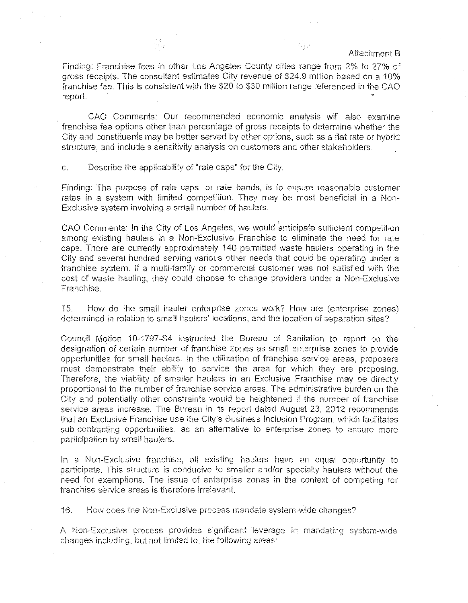Finding: Franchise fees in other Los Angeles County cities range from 2% to 27% of gross receipts. The consultant estimates City revenue of \$24.9 million based on a 10% franchise fee. This is consistent with the \$20 to \$30 million range referenced in the CAO report.

CAO Comments: Our recommended economic analysis will also examine franchise fee options other than percentage of gross receipts to determine whether the City and constituents may be better served by other options, such as a flat rate or hybrid structure, and include a sensitivity analysis on customers and other stakeholders.

c. Describe the applicability of "rate caps" for the City.

 $\mathcal{L}^{\mathcal{L}}$ 

Finding: The purpose of rate caps, or rate bands, is to ensure reasonable customer rates in a system with limited competition. They may be most beneficial in a Non-Exclusive system involving a small number of haulers.

CAO Comments: In the City of Los Angeles, we would anticipate sufficient competition among existing haulers in a Non-Exclusive Franchise to eliminate the need for rate caps. There are currently approximately 140 permitted waste haulers operating in the City and several hundred serving various other needs that could be operating under a franchise system. If a multi-family or commercial customer was not satisfied with the cost of waste hauling, they could choose to change providers under a Non-Exclusive ·Franchise.

i 5. How do the small hauler enterprise zones work? How are (enterprise zones) determined in relation to small haulers' locations, and the location of separation sites?

Council Motion 10-1797 -S4 instructed the Bureau of Sanitation to report on the designation of certain number of franchise zones as small enterprise zones to provide opportunities for small haulers. In the utilization of franchise service areas, proposers must demonstrate their ability to service the area for which they are proposing. Therefore, the viability of smaller haulers in an Exclusive Franchise may be directly proportional to the number of franchise service areas. The administrative burden on the City and potentiaily other constraints would be heightened if the number of franchise service areas increase. The Bureau in its report dated August 23, 2012 recommends that an Exclusive Franchise use the City's Business Inclusion Program, which facilitates sub-contracting opportunities, as an alternative to enterprise zones to ensure more participation by small haulers.

In a Non-Exclusive franchise, all existing haulers have an equal opportunity to participate. This structure is conducive to smaller and/or specialty haulers without the need for exemptions. The issue of enterprise zones in the context of competing for **franchise service areas is therefore irrelevant.** 

16. How does the Non-Exclusive process mandate system-wide changes?

A Non--Exclusive process provides significant leverage in mandating system--wide changes including, but not limited to, the following areas: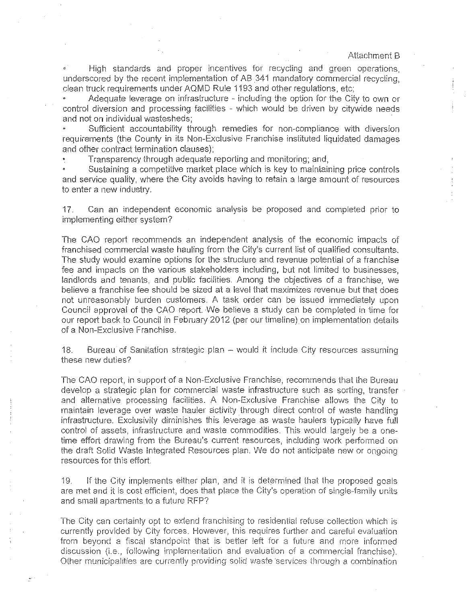• High standards and proper incentives for recycling and green operations, underscored by the recent implementation of AB 341 mandatory commercial recycling, clean truck requirements under AQMD Rule 1193 and other requiations, etc;

Adequate leverage on infrastructure - including the option for the City to own or control diversion and processing facilities - which would be driven by citywide needs and not on individual wastesheds;

Sufficient accountability through remedies for non-compliance with diversion requirements (the County in its Non-Exclusive Franchise instituted liquidated damages and other contract termination clauses):

Transparency through adequate reporting and monitoring; and,

Sustaining a competitive market place which is key to maintaining price controls and service quality, where the City avoids having to retain a large amount of resources to enter a new industry.

17. Can an independent economic analysis be proposed and completed prior to implementing either system?

The CAO repori recommends an independent analysis of the economic impacts of franchised commercial waste hauling from the City's current list of qualified consultants. The study would examine options for the structure and revenue potential of a franchise fee and impacts on the various stakeholders including, but not limited to businesses, landlords and tenants, and public facilities. Among the objectives of a franchise, we believe a franchise fee should be sized at a level that maximizes revenue but that does not unreasonably burden customers. A task order can be issued immediately upon Council approval of the CAO report. We believe a study can be completed in time for our report back to Council in February 2012 (per our iimeline) on implementation details of a Non-Exclusive Franchise.

18. Bureau of Sanitation strategic plan - would it include City resources assuming these new duties?

The CAO report, in support of a Non-Exclusive Franchise, recommends that the Bureau develop a strategic plan for commercial waste infrastructure such as sorting, transfer and alternative processing facilities. A Non-Exclusive Franchise allows the City to maintain leverage over waste hauler activity through direct control of waste handling infrastructure. Exclusivity diminishes this leverage as waste haulers typically have full control of assets, infrastructure and waste commodities. This would largely be a onetime effort drawing from the Bureau's current resources, including work performed on the draft Soiid Waste Integrated Resources plan. We do not anticipate new or ongoing resources for this effort.

19. If the City implements either plan, and it is determined that the proposed goals are met and it is cost efficient, does that place the City's operation of single-family units and small apartments to a future RFP?

The City can certainly opt to exiend franchising to residential refuse collection which is currently provided by City forces. However, this requires further and careful evaluation from beyond a fiscal standpoint that is better left for a future and more informed discussion (i.e., following implementation and evaluation of a commercial franchise). Other municipalities are currently providing solid waste services through a combination

 $\mathbb{R}$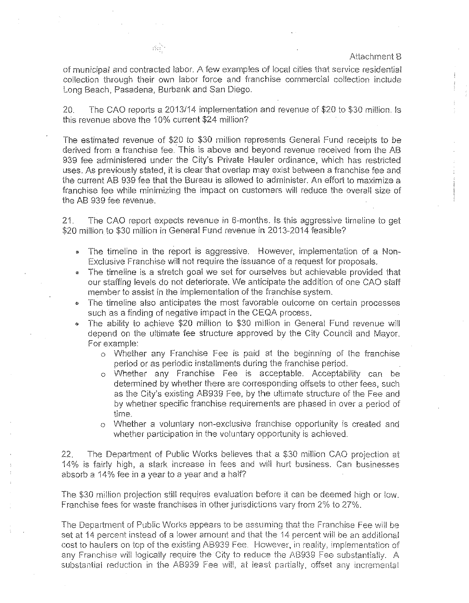of municipal and contracted labor. A few examples of local cities that service residential collection through their own labor force and franchise commercial collection include Long Beach, Pasadena, Burbank and San Diego.

20. The CAO reports a 2013/14 implementation and revenue of \$20 to \$30 million. Is this revenue above the 10% current \$24 million?

The estimated revenue of \$20 *to* \$30 million represents General Fund receipts to be derived from a franchise fee. This is above and beyond revenue received from the AB 939 fee administered under the City's Private Hauler ordinance, which has restricted uses. As previously stated, it is clear that overlap may exist between a franchise fee and the current AB 939 fee that the Bureau is allowed to administer. An effort to maximize a franchise fee while minimizing the impact on customers will reduce the overall size of the AB 939 fee revenue.

21. The CAO report expects revenue in 6-months. Is this aggressive tirneline to get \$20 million to \$30 million in General Fund revenue in 2013-2014 feasible?

- The timeline in the report is aggressive. However, implementation of a Non-Exclusive Franchise will not require the issuance of a request for proposals.
- The timeline is a stretch goal we set for ourselves but achievable provided that our staffing levels do not deteriorate. We anticipate the addition of one CAO staff member io assist in the implementation of the franchise system .
- The timeline also anticipates the most favorable outcome on certain processes such as a finding of negative impact in the CEQA process.
- The ability to achieve \$20 million to \$30 million in General Fund revenue will depend on the ultimate fee structure approved by the City Council and Mayor. For example:
	- o Whether any Franchise Fee is paid at the beginning of the franchise period or as periodic installments during the franchise period.
	- o Whether any Franchise Fee is acceptable. Acceptability can be determined by whether there are corresponding offsets to other fees, such as the City's existing AB939 Fee, by the ultimate structure of the Fee and by whether specific franchise requirements are phased in over a period of time.
	- o Whether a voluntary non-exclusive franchise opportunity is created and whether participation in the voluntary opportunity is achieved.

22. The Department of Public Works believes that a \$30 million CAO projection at 14% is fairly high, a stark increase in fees and wili hurt business. Can businesses absorb a 14% fee in a year to a year and a haif?

The \$30 million projection still requires evaluation before it can be deemed high or low. Franchise fees for waste franchises in other jurisdictions vary from 2% to 27%.

The Department of Public Works appears to be assuming that the Franchise Fee wi!l be set at 14 percent instead of a lower amount and that the 14 percent will be an additional cost to haulers on top of the existing AB939 Fee. However, in reality, implementation of any Franchise will logically require the City to reduce the AB939 Fee substantially. A substantial reduction in the AB939 Fee will, at least partially, offset any incremental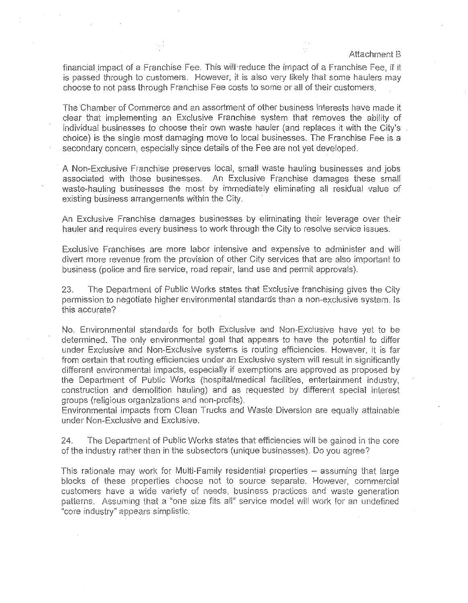financial impact of a Franchise Fee. This will reduce the impact of a Franchise Fee, if it is passed through to customers. However, it is also very likely that some haulers may choose to not pass through Franchise Fee costs to some or all of their customers.

The Chamber of Commerce and an assortment of other business interests have made it clear that implementing an Exclusive Franchise system that removes the ability of individual businesses to choose their own waste hauler (and replaces it with the City's choice) is the single most damaging move to local businesses. The Franchise Fee is a secondary concern, especially since details of the Fee are not yet developed.

A Non-Exclusive Franchise preserves local, small waste hauling businesses and jobs associated with those businesses. An Exclusive Franchise damages these small waste-hauling businesses the most by immediately eliminating all residual value of existing business arrangements within the City.

An Exclusive Franchise damages businesses by eliminating their leverage over their hauler and requires every business to work through the City to resolve service issues.

Exclusive Franchises are more labor intensive and expensive to administer and will divert more revenue from the provision of other City services that are also important to business (police and fire service, road repair, land use and permit approvals).

23. The Department of Public Works states that Exclusive franchising gives the City permission to negotiate higher environmental standards than a non-exclusive system. Is this accurate?

No. Environmental standards for both Exclusive and Non-Exclusive have yet to be determined. The only environmental goal that appears to have the potential to differ under Exclusive and Non-Exclusive systems is routing efficiencies. However, it is far from certain that routing efficiencies under an Exclusive system will result in significantly different environmental impacts, especially if exemptions are approved as proposed by the Department of Public Works (hospital/medical facilities, entertainment industry, construction and demolition hauling) and as requested by different special interest groups (religious organizations and non-profits).

Environmental impacts from Clean Trucks and Waste Diversion are equally attainable under Non-Exclusive and Exclusive.

24. The Department of Public Works states that efficiencies will be gained in the core of the industry rather than in the subsectors (unique businesses). Do you agree?

This rationale may work for Multi-Family residential properties -- assuming that large blocks of these properties choose not to source separate. However, commercial customers have a wide variety of needs, business practices and waste generation patterns. Assuming that a "one size fits all" service model will work for an undefined "core industry" appears simplistic.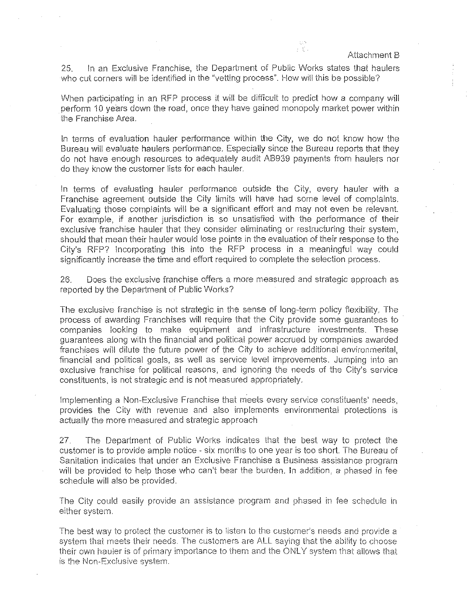Ϋ́,

25. In an Exclusive Franchise, the Department of Public Works states that haulers who cut corners will be identified in the "vetting process". How will this be possible?

When participating in an RFP process it will be difficult to predict how a company will perform 10 years down the road, once they have gained monopoly market power within the Franchise Area.

In terms of evaluation hauler performance within the City, we do not know how the Bureau will evaluate haulers performance. Especially since the Bureau reports that they do not have enough resources to adequately audit AB939 payments from haulers nor do they know the customer lists for each hauler.

In terms of evaluating hauler performance outside the City, every hauler with a Franchise agreement outside the City limits will have had some level of complaints. Evaluating those complaints will be a significant effort and may not even be relevant For example, if another jurisdiction is so unsatisfied with the performance of their exclusive franchise hauler that they consider eliminating or restructuring their system, should that mean their hauler would lose points in the evaluation of their response to the City's RFP? Incorporating this into the RFP process in a meaningful way could significantly increase the time and effort required to complete the selection process.

26. Does the exclusive franchise offers a more measured and strategic approach as reported by the Depariment of Public Works?

The exclusive franchise is not strategic in the sense of long-term policy flexibility. The process of awarding Franchises will require that the City provide some guarantees to companies looking to make equipment and infrastructure investments. These guarantees along with the financial and political power accrued by companies awarded franchises will dilute the future power of the City to achieve additional environmental, financial and political goals, as well as service level improvements. Jumping into an exclusive franchise for political reasons, and ignoring the needs of the City's service constituents, is not strategic and is not measured appropriately.

Implementing a Non-Exclusive Franchise that meets every service constituents' needs, provides the City with revenue and also implements environmental protections is actually the more measured and strategic approach

27. The Department of Public Works indicates that the best way to protect the customer is to provide ample notice - six months to one year is too short. The Bureau of Sanitation indicates that under an Exclusive Franchise a Business assistance program will be provided to help those who can't bear the burden. In addition, a phased in fee schedule will also be provided.

The City could easily provide an assistance program and phased in fee schedule in either system.

The best way to protect the customer is to listen to the customer's needs and provide a system that meets their needs. The customers are ALL saying that the ability to choose their own hauler is of primary importance to them and the ONLY system that allows that is the Non-Exclusive system.